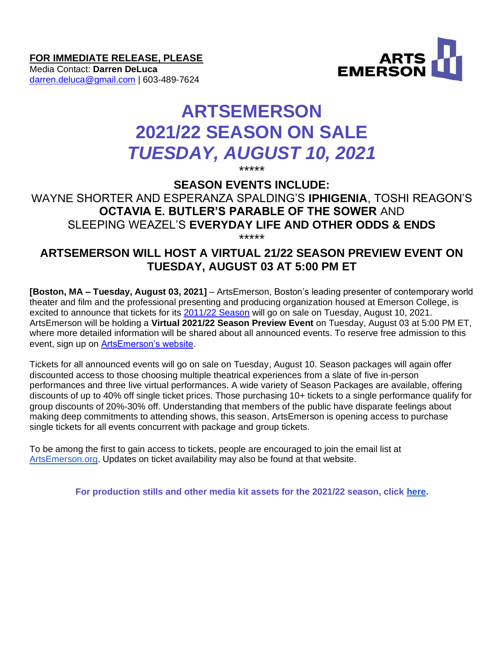**FOR IMMEDIATE RELEASE, PLEASE**

Media Contact: **Darren DeLuca** [darren.deluca@gmail.com](mailto:darren.deluca@gmail.com) | 603-489-7624



# **ARTSEMERSON 2021/22 SEASON ON SALE** *TUESDAY, AUGUST 10, 2021*

\*\*\*\*\*

**SEASON EVENTS INCLUDE:**

WAYNE SHORTER AND ESPERANZA SPALDING'S **IPHIGENIA**, TOSHI REAGON'S **OCTAVIA E. BUTLER'S PARABLE OF THE SOWER** AND SLEEPING WEAZEL'S **EVERYDAY LIFE AND OTHER ODDS & ENDS** \*\*\*\*\*

## **ARTSEMERSON WILL HOST A VIRTUAL 21/22 SEASON PREVIEW EVENT ON TUESDAY, AUGUST 03 AT 5:00 PM ET**

**[Boston, MA – Tuesday, August 03, 2021]** – ArtsEmerson, Boston's leading presenter of contemporary world theater and film and the professional presenting and producing organization housed at Emerson College, is excited to announce that tickets for its [2011/22 Season](https://artsemerson.org/content/Files/SeasonAnnouncement_AE_062921.pdf) will go on sale on Tuesday, August 10, 2021. ArtsEmerson will be holding a **Virtual 2021/22 Season Preview Event** on Tuesday, August 03 at 5:00 PM ET, where more detailed information will be shared about all announced events. To reserve free admission to this event, sign up on [ArtsEmerson's website.](https://artsemerson.org/Online/seatSelect.asp?createBO::WSmap=1&BOparam::WSmap::loadBestAvailable::performance_ids=62B323EF-CD91-4309-ADE3-B057766406E6)

Tickets for all announced events will go on sale on Tuesday, August 10. Season packages will again offer discounted access to those choosing multiple theatrical experiences from a slate of five in-person performances and three live virtual performances. A wide variety of Season Packages are available, offering discounts of up to 40% off single ticket prices. Those purchasing 10+ tickets to a single performance qualify for group discounts of 20%-30% off. Understanding that members of the public have disparate feelings about making deep commitments to attending shows, this season, ArtsEmerson is opening access to purchase single tickets for all events concurrent with package and group tickets.

To be among the first to gain access to tickets, people are encouraged to join the email list at [ArtsEmerson.org.](http://artsemerson.org/) Updates on ticket availability may also be found at that website.

**For production stills and other media kit assets for the 2021/22 season, click [here.](https://artsemerson.org/Online/article/2122-mediakit)**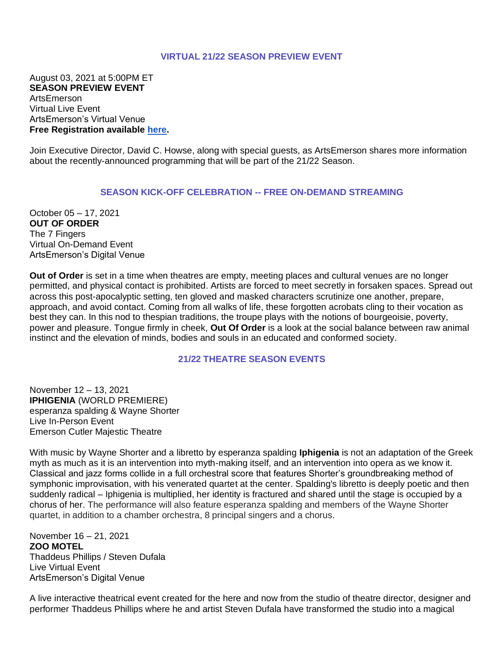#### **VIRTUAL 21/22 SEASON PREVIEW EVENT**

August 03, 2021 at 5:00PM ET **SEASON PREVIEW EVENT** ArtsEmerson Virtual Live Event ArtsEmerson's Virtual Venue **Free Registration available [here.](https://artsemerson.org/Online/seatSelect.asp?createBO::WSmap=1&BOparam::WSmap::loadBestAvailable::performance_ids=62B323EF-CD91-4309-ADE3-B057766406E6)**

Join Executive Director, David C. Howse, along with special guests, as ArtsEmerson shares more information about the recently-announced programming that will be part of the 21/22 Season.

#### **SEASON KICK-OFF CELEBRATION -- FREE ON-DEMAND STREAMING**

October 05 – 17, 2021 **OUT OF ORDER** The 7 Fingers Virtual On-Demand Event ArtsEmerson's Digital Venue

**Out of Order** is set in a time when theatres are empty, meeting places and cultural venues are no longer permitted, and physical contact is prohibited. Artists are forced to meet secretly in forsaken spaces. Spread out across this post-apocalyptic setting, ten gloved and masked characters scrutinize one another, prepare, approach, and avoid contact. Coming from all walks of life, these forgotten acrobats cling to their vocation as best they can. In this nod to thespian traditions, the troupe plays with the notions of bourgeoisie, poverty, power and pleasure. Tongue firmly in cheek, **Out Of Order** is a look at the social balance between raw animal instinct and the elevation of minds, bodies and souls in an educated and conformed society.

#### **21/22 THEATRE SEASON EVENTS**

November 12 – 13, 2021 **IPHIGENIA** (WORLD PREMIERE) esperanza spalding & Wayne Shorter Live In-Person Event Emerson Cutler Majestic Theatre

With music by Wayne Shorter and a libretto by esperanza spalding **Iphigenia** is not an adaptation of the Greek myth as much as it is an intervention into myth-making itself, and an intervention into opera as we know it. Classical and jazz forms collide in a full orchestral score that features Shorter's groundbreaking method of symphonic improvisation, with his venerated quartet at the center. Spalding's libretto is deeply poetic and then suddenly radical – Iphigenia is multiplied, her identity is fractured and shared until the stage is occupied by a chorus of her. The performance will also feature esperanza spalding and members of the Wayne Shorter quartet, in addition to a chamber orchestra, 8 principal singers and a chorus.

November 16 – 21, 2021 **ZOO MOTEL** Thaddeus Phillips / Steven Dufala Live Virtual Event ArtsEmerson's Digital Venue

A live interactive theatrical event created for the here and now from the studio of theatre director, designer and performer Thaddeus Phillips where he and artist Steven Dufala have transformed the studio into a magical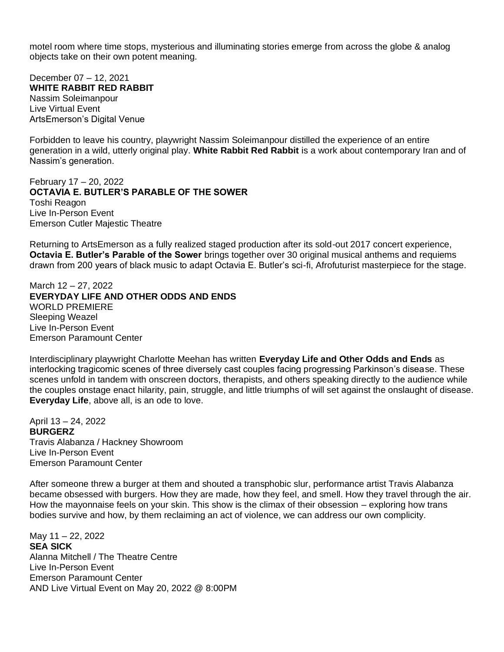motel room where time stops, mysterious and illuminating stories emerge from across the globe & analog objects take on their own potent meaning.

December 07 – 12, 2021 **WHITE RABBIT RED RABBIT** Nassim Soleimanpour Live Virtual Event ArtsEmerson's Digital Venue

Forbidden to leave his country, playwright Nassim Soleimanpour distilled the experience of an entire generation in a wild, utterly original play. **White Rabbit Red Rabbit** is a work about contemporary Iran and of Nassim's generation.

February 17 – 20, 2022 **OCTAVIA E. BUTLER'S PARABLE OF THE SOWER** Toshi Reagon Live In-Person Event Emerson Cutler Majestic Theatre

Returning to ArtsEmerson as a fully realized staged production after its sold-out 2017 concert experience, **Octavia E. Butler's Parable of the Sower** brings together over 30 original musical anthems and requiems drawn from 200 years of black music to adapt Octavia E. Butler's sci-fi, Afrofuturist masterpiece for the stage.

March 12 – 27, 2022 **EVERYDAY LIFE AND OTHER ODDS AND ENDS** WORLD PREMIERE Sleeping Weazel Live In-Person Event Emerson Paramount Center

Interdisciplinary playwright Charlotte Meehan has written **Everyday Life and Other Odds and Ends** as interlocking tragicomic scenes of three diversely cast couples facing progressing Parkinson's disease. These scenes unfold in tandem with onscreen doctors, therapists, and others speaking directly to the audience while the couples onstage enact hilarity, pain, struggle, and little triumphs of will set against the onslaught of disease. **Everyday Life**, above all, is an ode to love.

April 13 – 24, 2022 **BURGERZ** Travis Alabanza / Hackney Showroom Live In-Person Event Emerson Paramount Center

After someone threw a burger at them and shouted a transphobic slur, performance artist Travis Alabanza became obsessed with burgers. How they are made, how they feel, and smell. How they travel through the air. How the mayonnaise feels on your skin. This show is the climax of their obsession – exploring how trans bodies survive and how, by them reclaiming an act of violence, we can address our own complicity.

May 11 – 22, 2022 **SEA SICK** Alanna Mitchell / The Theatre Centre Live In-Person Event Emerson Paramount Center AND Live Virtual Event on May 20, 2022 @ 8:00PM